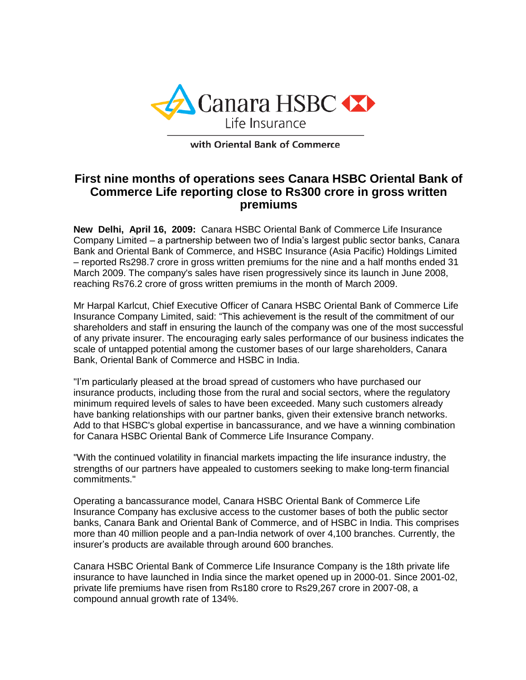

with Oriental Bank of Commerce

## **First nine months of operations sees Canara HSBC Oriental Bank of Commerce Life reporting close to Rs300 crore in gross written premiums**

**New Delhi, April 16, 2009:** Canara HSBC Oriental Bank of Commerce Life Insurance Company Limited – a partnership between two of India's largest public sector banks, Canara Bank and Oriental Bank of Commerce, and HSBC Insurance (Asia Pacific) Holdings Limited – reported Rs298.7 crore in gross written premiums for the nine and a half months ended 31 March 2009. The company's sales have risen progressively since its launch in June 2008, reaching Rs76.2 crore of gross written premiums in the month of March 2009.

Mr Harpal Karlcut, Chief Executive Officer of Canara HSBC Oriental Bank of Commerce Life Insurance Company Limited, said: "This achievement is the result of the commitment of our shareholders and staff in ensuring the launch of the company was one of the most successful of any private insurer. The encouraging early sales performance of our business indicates the scale of untapped potential among the customer bases of our large shareholders, Canara Bank, Oriental Bank of Commerce and HSBC in India.

"I'm particularly pleased at the broad spread of customers who have purchased our insurance products, including those from the rural and social sectors, where the regulatory minimum required levels of sales to have been exceeded. Many such customers already have banking relationships with our partner banks, given their extensive branch networks. Add to that HSBC's global expertise in bancassurance, and we have a winning combination for Canara HSBC Oriental Bank of Commerce Life Insurance Company.

"With the continued volatility in financial markets impacting the life insurance industry, the strengths of our partners have appealed to customers seeking to make long-term financial commitments."

Operating a bancassurance model, Canara HSBC Oriental Bank of Commerce Life Insurance Company has exclusive access to the customer bases of both the public sector banks, Canara Bank and Oriental Bank of Commerce, and of HSBC in India. This comprises more than 40 million people and a pan-India network of over 4,100 branches. Currently, the insurer's products are available through around 600 branches.

Canara HSBC Oriental Bank of Commerce Life Insurance Company is the 18th private life insurance to have launched in India since the market opened up in 2000-01. Since 2001-02, private life premiums have risen from Rs180 crore to Rs29,267 crore in 2007-08, a compound annual growth rate of 134%.